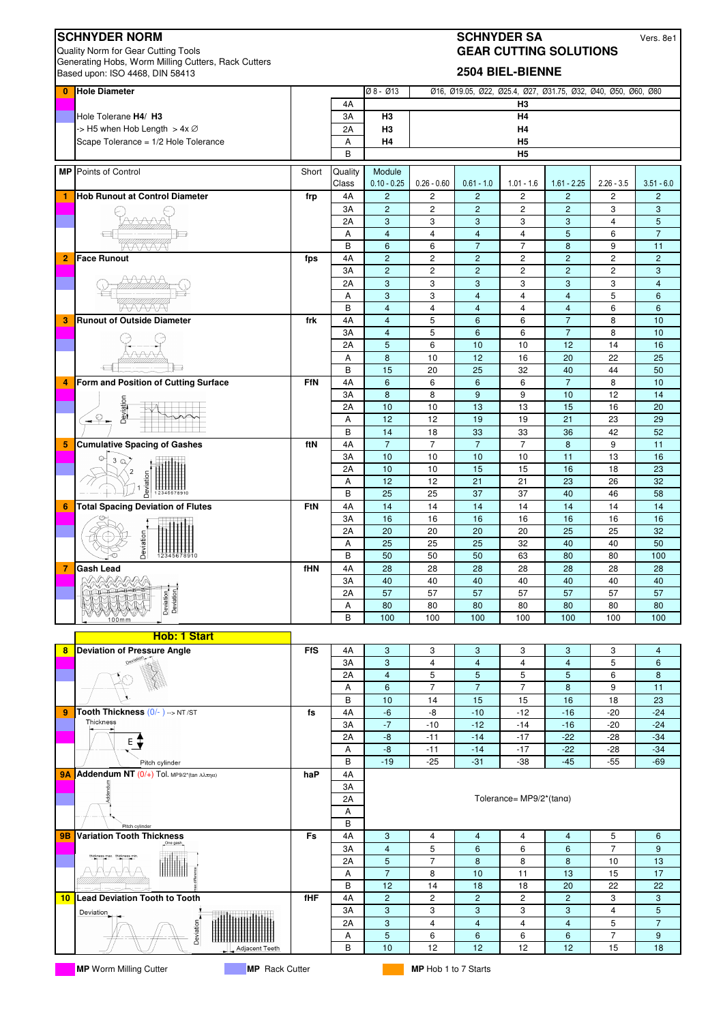| <b>SCHNYDER NORM</b><br><b>SCHNYDER SA</b><br>Quality Norm for Gear Cutting Tools<br><b>GEAR CUTTING SOLUTIONS</b><br>Generating Hobs, Worm Milling Cutters, Rack Cutters |                                                                                            |            |                  |                                  |                                         |                                       |                                        |                                                               | Vers. 8e1                        |                     |
|---------------------------------------------------------------------------------------------------------------------------------------------------------------------------|--------------------------------------------------------------------------------------------|------------|------------------|----------------------------------|-----------------------------------------|---------------------------------------|----------------------------------------|---------------------------------------------------------------|----------------------------------|---------------------|
|                                                                                                                                                                           | Based upon: ISO 4468, DIN 58413                                                            |            |                  |                                  |                                         |                                       | 2504 BIEL-BIENNE                       |                                                               |                                  |                     |
| $\bf{0}$                                                                                                                                                                  | <b>Hole Diameter</b>                                                                       |            |                  | Ø8-Ø13                           |                                         |                                       |                                        | Ø16, Ø19.05, Ø22, Ø25.4, Ø27, Ø31.75, Ø32, Ø40, Ø50, Ø60, Ø80 |                                  |                     |
|                                                                                                                                                                           | Hole Tolerane H4/ H3                                                                       |            | 4A<br>3A         | H3                               |                                         |                                       | H3<br>Η4                               |                                                               |                                  |                     |
|                                                                                                                                                                           | -> H5 when Hob Length > $4x \oslash$                                                       |            | 2A               | H <sub>3</sub>                   |                                         |                                       | Η4                                     |                                                               |                                  |                     |
|                                                                                                                                                                           | Scape Tolerance = 1/2 Hole Tolerance                                                       |            | А                | H <sub>4</sub>                   |                                         |                                       | H5                                     |                                                               |                                  |                     |
|                                                                                                                                                                           |                                                                                            |            | B                |                                  |                                         |                                       | H <sub>5</sub>                         |                                                               |                                  |                     |
|                                                                                                                                                                           | <b>MP</b> Points of Control                                                                | Short      | Quality<br>Class | Module<br>$0.10 - 0.25$          | $0.26 - 0.60$                           | $0.61 - 1.0$                          | $1.01 - 1.6$                           | $1.61 - 2.25$                                                 | $2.26 - 3.5$                     | $3.51 - 6.0$        |
| 1                                                                                                                                                                         | <b>Hob Runout at Control Diameter</b>                                                      | frp        | 4A               | $\overline{c}$<br>$\overline{c}$ | $\sqrt{2}$<br>$\overline{c}$            | $\overline{c}$<br>$\overline{2}$      | $\overline{c}$<br>$\overline{c}$       | $\overline{c}$<br>$\overline{c}$                              | $\overline{c}$<br>3              | $\overline{c}$<br>3 |
|                                                                                                                                                                           |                                                                                            |            | 3A<br>2A         | 3                                | 3                                       | $\ensuremath{\mathsf{3}}$             | 3                                      | 3                                                             | $\overline{4}$                   | 5                   |
|                                                                                                                                                                           |                                                                                            |            | A                | $\overline{4}$                   | $\overline{4}$                          | $\overline{4}$                        | $\overline{4}$                         | 5                                                             | 6                                | $\overline{7}$      |
|                                                                                                                                                                           |                                                                                            |            | B                | 6                                | 6                                       | $\overline{7}$                        | $\overline{7}$                         | 8                                                             | 9                                | 11                  |
| $\overline{2}$                                                                                                                                                            | <b>Face Runout</b>                                                                         | fps        | 4A<br>3A         | $\overline{2}$<br>$\overline{c}$ | $\overline{\mathbf{c}}$<br>$\mathbf{2}$ | $\overline{c}$<br>$\overline{2}$      | $\overline{c}$<br>2                    | $\overline{c}$<br>$\overline{c}$                              | $\overline{c}$<br>$\overline{c}$ | $\overline{c}$<br>3 |
|                                                                                                                                                                           |                                                                                            |            | 2A               | 3                                | 3                                       | 3                                     | 3                                      | 3                                                             | 3                                | $\overline{4}$      |
|                                                                                                                                                                           |                                                                                            |            | Α                | 3                                | 3                                       | $\overline{4}$                        | $\overline{4}$                         | $\overline{4}$                                                | 5                                | 6                   |
| 3                                                                                                                                                                         | <b>Runout of Outside Diameter</b>                                                          | frk        | B<br>4A          | $\overline{4}$<br>$\overline{4}$ | $\overline{4}$<br>5                     | $\overline{4}$<br>$6\phantom{1}$      | $\overline{4}$<br>6                    | $\overline{4}$<br>$\overline{7}$                              | 6<br>8                           | 6<br>10             |
|                                                                                                                                                                           |                                                                                            |            | 3A               | $\overline{4}$                   | 5                                       | $6\phantom{1}$                        | 6                                      | $\overline{7}$                                                | 8                                | 10                  |
|                                                                                                                                                                           |                                                                                            |            | 2A               | $\overline{5}$                   | 6                                       | 10                                    | 10                                     | 12                                                            | 14                               | 16                  |
|                                                                                                                                                                           |                                                                                            |            | Α<br>B           | 8<br>15                          | 10<br>20                                | 12<br>25                              | 16<br>32                               | 20<br>40                                                      | 22<br>44                         | 25<br>50            |
| 4                                                                                                                                                                         | Form and Position of Cutting Surface                                                       | <b>FfN</b> | 4A               | 6                                | 6                                       | 6                                     | 6                                      | $\overline{7}$                                                | 8                                | 10                  |
|                                                                                                                                                                           |                                                                                            |            | 3A               | 8                                | 8                                       | 9                                     | 9                                      | 10                                                            | 12                               | 14                  |
|                                                                                                                                                                           | Deviation                                                                                  |            | 2A               | 10                               | 10                                      | 13                                    | 13                                     | 15                                                            | 16                               | 20                  |
|                                                                                                                                                                           | $\rightarrow$                                                                              |            | А<br>B           | 12<br>14                         | 12<br>18                                | 19<br>33                              | 19<br>33                               | 21<br>36                                                      | 23<br>42                         | 29<br>52            |
| 5                                                                                                                                                                         | <b>Cumulative Spacing of Gashes</b>                                                        | ftN        | 4A               | $\overline{7}$                   | $\overline{7}$                          | $\overline{7}$                        | $\overline{7}$                         | 8                                                             | 9                                | 11                  |
|                                                                                                                                                                           | ೧<br>3                                                                                     |            | 3A               | 10                               | 10                                      | 10                                    | 10                                     | 11                                                            | 13                               | 16                  |
|                                                                                                                                                                           |                                                                                            |            | 2A<br>A          | 10<br>12                         | 10<br>12                                | 15<br>21                              | 15<br>21                               | 16<br>23                                                      | 18<br>26                         | 23<br>32            |
|                                                                                                                                                                           | →<br>Deviation                                                                             |            | B                | 25                               | 25                                      | 37                                    | 37                                     | 40                                                            | 46                               | 58                  |
| 6                                                                                                                                                                         | <b>Total Spacing Deviation of Flutes</b>                                                   | FtN        | 4A               | 14                               | 14                                      | 14                                    | 14                                     | 14                                                            | 14                               | 14                  |
|                                                                                                                                                                           |                                                                                            |            | 3A               | 16                               | 16                                      | 16                                    | 16                                     | 16                                                            | 16                               | 16                  |
|                                                                                                                                                                           | Deviation                                                                                  |            | 2A<br>А          | 20<br>25                         | 20<br>25                                | 20<br>25                              | 20<br>32                               | 25<br>40                                                      | 25<br>40                         | 32<br>50            |
|                                                                                                                                                                           |                                                                                            |            | B                | 50                               | 50                                      | 50                                    | 63                                     | 80                                                            | 80                               | 100                 |
| 7                                                                                                                                                                         | <b>Gash Lead</b>                                                                           | fHN        | 4A               | 28                               | 28                                      | 28                                    | 28                                     | 28                                                            | 28                               | 28                  |
|                                                                                                                                                                           | <b>The Reader</b><br>$\mathbb{L}$                                                          |            | ЗA<br>2A         | 40<br>57                         | 40<br>57                                | 40<br>57                              | 40<br>57                               | 40<br>57                                                      | 40<br>57                         | 40<br>57            |
|                                                                                                                                                                           | Deviation                                                                                  |            | А                | 80                               | 80                                      | 80                                    | 80                                     | 80                                                            | 80                               | 80                  |
|                                                                                                                                                                           | $100m$ m                                                                                   |            | B                | 100                              | 100                                     | 100                                   | 100                                    | 100                                                           | 100                              | 100                 |
|                                                                                                                                                                           | Hob: 1 Start                                                                               |            |                  |                                  |                                         |                                       |                                        |                                                               |                                  |                     |
| 8                                                                                                                                                                         | <b>Deviation of Pressure Angle</b>                                                         | <b>FfS</b> | 4A               | 3                                | 3                                       | 3                                     | 3                                      | 3                                                             | 3                                | 4                   |
|                                                                                                                                                                           |                                                                                            |            | 3A<br>2A         | 3<br>$\overline{4}$              | $\overline{\mathbf{4}}$<br>5            | $\overline{\mathbf{4}}$<br>$\sqrt{5}$ | $\overline{4}$<br>5                    | $\overline{\mathbf{4}}$<br>5                                  | 5<br>6                           | 6<br>8              |
|                                                                                                                                                                           |                                                                                            |            | Α                | 6                                | $\overline{7}$                          | $\overline{7}$                        | $\overline{7}$                         | 8                                                             | 9                                | 11                  |
|                                                                                                                                                                           |                                                                                            |            | в                | 10                               | 14                                      | 15                                    | 15                                     | 16                                                            | 18                               | 23                  |
| 9                                                                                                                                                                         | Tooth Thickness (0/-)->NT/ST<br>Thickness                                                  | fs         | 4A<br>3A         | -6<br>$-7$                       | -8<br>-10                               | $-10$<br>$-12$                        | $-12$<br>$-14$                         | $-16$<br>$-16$                                                | $-20$<br>$-20$                   | $-24$<br>$-24$      |
|                                                                                                                                                                           | E <sup>+</sup>                                                                             |            | 2A               | -8                               | $-11$                                   | $-14$                                 | $-17$                                  | $-22$                                                         | $-28$                            | $-34$               |
|                                                                                                                                                                           |                                                                                            |            | Α                | -8                               | $-11$                                   | $-14$                                 | $-17$                                  | $-22$                                                         | $-28$                            | $-34$               |
| <b>9A</b>                                                                                                                                                                 | Pitch cylinder<br><b>Addendum NT</b> $(0/+)$ Tol. MP9/2*(tan A $\lambda \pi \eta \alpha$ ) | haP        | в<br>4A          | $-19$                            | $-25$                                   | $-31$                                 | -38                                    | $-45$                                                         | $-55$                            | $-69$               |
|                                                                                                                                                                           |                                                                                            |            | ЗA               |                                  |                                         |                                       |                                        |                                                               |                                  |                     |
|                                                                                                                                                                           |                                                                                            |            | 2A               |                                  |                                         |                                       | Tolerance= $MP9/2^*(\text{tan}\alpha)$ |                                                               |                                  |                     |
|                                                                                                                                                                           |                                                                                            |            | А                |                                  |                                         |                                       |                                        |                                                               |                                  |                     |
| 9B                                                                                                                                                                        | Pitch cylinder<br><b>Variation Tooth Thickness</b>                                         | Fs         | B<br>4A          | 3                                | 4                                       | 4                                     | 4                                      | 4                                                             | 5                                | 6                   |
|                                                                                                                                                                           |                                                                                            |            | 3A               | $\overline{4}$                   | 5                                       | 6                                     | 6                                      | 6                                                             | $\overline{7}$                   | 9                   |
|                                                                                                                                                                           | thickness max. thickness mir                                                               |            | 2A               | 5                                | $\overline{7}$                          | 8                                     | 8                                      | 8                                                             | 10                               | 13                  |
|                                                                                                                                                                           |                                                                                            |            | А<br>B           | $\overline{7}$<br>12             | 8<br>14                                 | 10<br>18                              | 11<br>18                               | 13<br>20                                                      | 15<br>22                         | 17<br>22            |
| 10                                                                                                                                                                        | <b>Lead Deviation Tooth to Tooth</b>                                                       | fHF        | 4A               | $\overline{2}$                   | $\overline{c}$                          | $\overline{c}$                        | $\overline{c}$                         | $\overline{c}$                                                | 3                                | 3                   |
|                                                                                                                                                                           | Deviation                                                                                  |            | ЗA               | 3                                | 3                                       | 3                                     | 3                                      | 3                                                             | $\overline{4}$                   | 5                   |
|                                                                                                                                                                           | Deviation                                                                                  |            | 2A               | 3                                | 4                                       | $\overline{4}$                        | 4                                      | $\overline{4}$                                                | 5<br>$\overline{7}$              | $\overline{7}$      |
|                                                                                                                                                                           | Adjacent Teeth                                                                             |            | Α<br>в           | $\overline{5}$<br>10             | 6<br>12                                 | $\boldsymbol{6}$<br>12                | 6<br>12                                | 6<br>12                                                       | 15                               | 9<br>18             |
|                                                                                                                                                                           |                                                                                            |            |                  |                                  |                                         |                                       |                                        |                                                               |                                  |                     |
|                                                                                                                                                                           | <b>MP</b> Worm Milling Cutter<br><b>MP</b> Rack Cutter                                     |            |                  |                                  | <b>MP</b> Hob 1 to 7 Starts             |                                       |                                        |                                                               |                                  |                     |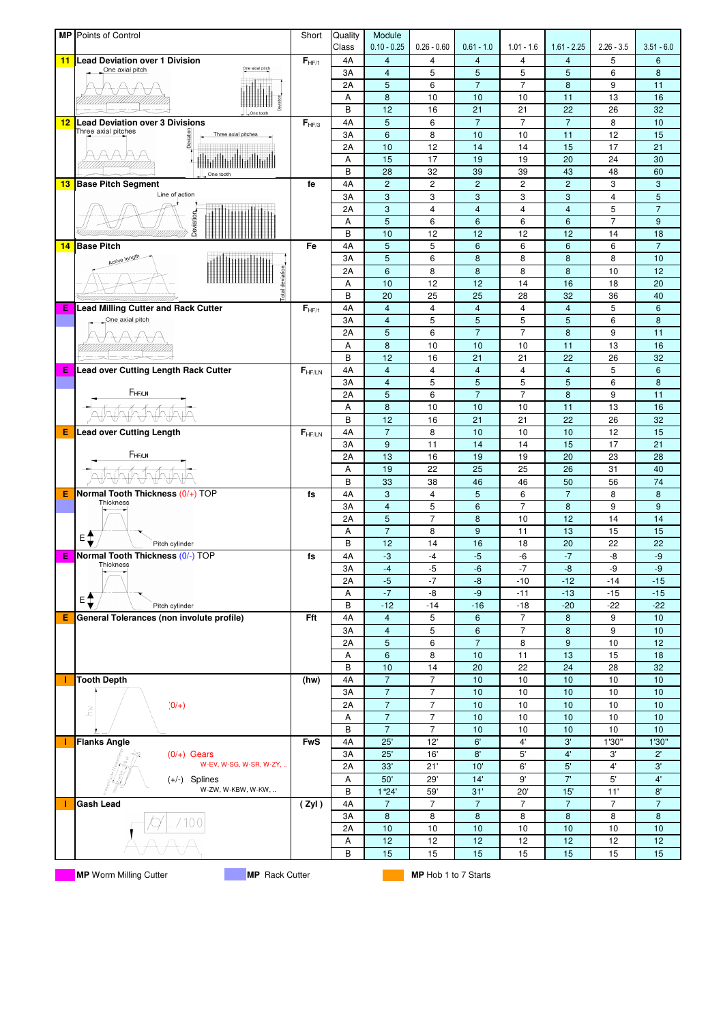|    | MP Points of Control                                    | Short       | Quality     | Module                           |                                  |                              |                      |                                          |                     |                      |
|----|---------------------------------------------------------|-------------|-------------|----------------------------------|----------------------------------|------------------------------|----------------------|------------------------------------------|---------------------|----------------------|
| 11 | <b>Lead Deviation over 1 Division</b>                   | $F_{HF/1}$  | Class<br>4A | $0.10 - 0.25$<br>$\overline{4}$  | $0.26 - 0.60$<br>4               | $0.61 - 1.0$<br>4            | $1.01 - 1.6$<br>4    | $1.61 - 2.25$<br>$\overline{\mathbf{4}}$ | $2.26 - 3.5$<br>5   | $3.51 - 6.0$<br>6    |
|    | One axial pitch<br>One axial pitch                      |             | 3A          | $\overline{4}$                   | 5                                | 5                            | 5                    | 5                                        | 6                   | 8                    |
|    |                                                         |             | 2A          | 5                                | 6                                | $\overline{7}$               | $\overline{7}$       | 8                                        | 9                   | 11                   |
|    |                                                         |             | Α           | 8                                | 10                               | 10                           | 10                   | 11                                       | 13                  | 16                   |
|    |                                                         |             | B           | 12                               | 16                               | 21                           | 21                   | 22                                       | 26                  | 32                   |
| 12 | <b>Lead Deviation over 3 Divisions</b>                  | $F_{HF/3}$  | 4A          | 5                                | 6                                | $\overline{7}$               | $\overline{7}$       | $\overline{7}$                           | 8                   | 10                   |
|    | Three axial pitches<br>Deviation<br>Three axial pitches |             | 3A          | 6                                | 8                                | 10                           | 10                   | 11                                       | 12                  | 15                   |
|    |                                                         |             | 2A          | 10                               | 12                               | 14                           | 14                   | 15                                       | 17                  | 21                   |
|    |                                                         |             | Α           | 15                               | 17                               | 19                           | 19                   | 20                                       | 24                  | 30                   |
|    | One tooth                                               |             | B           | 28                               | 32                               | 39                           | 39                   | 43                                       | 48                  | 60                   |
| 13 | <b>Base Pitch Segment</b><br>Line of action             | fe          | 4A          | $\overline{c}$                   | $\overline{c}$                   | $\overline{c}$               | $\overline{c}$       | $\overline{c}$                           | 3                   | 3                    |
|    |                                                         |             | 3A<br>2A    | 3<br>3                           | 3<br>$\overline{4}$              | 3<br>$\overline{\mathbf{4}}$ | 3<br>4               | 3<br>$\overline{\mathbf{4}}$             | $\overline{4}$<br>5 | 5<br>$\overline{7}$  |
|    |                                                         |             | Α           | 5                                | 6                                | $6\phantom{1}6$              | 6                    | $6\phantom{1}6$                          | $\overline{7}$      | 9                    |
|    | Deviation                                               |             | B           | 10                               | 12                               | 12                           | 12                   | 12                                       | 14                  | 18                   |
| 14 | <b>Base Pitch</b>                                       | Fe          | 4A          | 5                                | 5                                | $\boldsymbol{6}$             | 6                    | $6\phantom{1}6$                          | 6                   | $\overline{7}$       |
|    | Active length                                           |             | 3A          | 5                                | 6                                | 8                            | 8                    | 8                                        | 8                   | 10                   |
|    |                                                         |             | 2A          | $6\phantom{1}6$                  | 8                                | 8                            | 8                    | 8                                        | 10                  | 12                   |
|    | <b>Total</b> deviation                                  |             | Α           | 10                               | 12                               | 12                           | 14                   | 16                                       | 18                  | 20                   |
|    |                                                         |             | B           | 20                               | 25                               | 25                           | 28                   | 32                                       | 36                  | 40                   |
| Е  | <b>Lead Milling Cutter and Rack Cutter</b>              | $F_{HF/1}$  | 4A          | $\overline{4}$                   | $\overline{\mathbf{4}}$          | $\overline{\mathbf{4}}$      | 4                    | $\overline{4}$                           | 5                   | 6                    |
|    | One axial pitch                                         |             | 3A          | $\overline{4}$                   | 5                                | 5                            | 5                    | 5                                        | 6                   | 8                    |
|    |                                                         |             | 2A          | 5                                | 6                                | $\overline{7}$               | $\overline{7}$       | 8                                        | 9                   | 11                   |
|    |                                                         |             | Α           | 8                                | 10                               | 10                           | 10                   | 11                                       | 13                  | 16                   |
| Е  | Lead over Cutting Length Rack Cutter                    | $F_{HF/LN}$ | B<br>4A     | 12<br>$\overline{4}$             | 16<br>$\overline{\mathbf{4}}$    | 21<br>$\overline{4}$         | 21<br>$\overline{4}$ | 22<br>$\overline{4}$                     | 26<br>5             | 32<br>$6\phantom{1}$ |
|    |                                                         |             | 3A          | $\overline{4}$                   | 5                                | 5                            | 5                    | 5                                        | 6                   | 8                    |
|    | FHFAN                                                   |             | 2A          | 5                                | 6                                | $\overline{7}$               | $\overline{7}$       | 8                                        | 9                   | 11                   |
|    |                                                         |             | Α           | 8                                | 10                               | 10                           | 10                   | 11                                       | 13                  | 16                   |
|    |                                                         |             | B           | 12                               | 16                               | 21                           | 21                   | 22                                       | 26                  | 32                   |
| Е  | <b>Lead over Cutting Length</b>                         | $F_{HF/LN}$ | 4A          | $\overline{7}$                   | 8                                | 10                           | 10                   | 10                                       | 12                  | 15                   |
|    |                                                         |             | 3A          | 9                                | 11                               | 14                           | 14                   | 15                                       | 17                  | 21                   |
|    | FHFAN                                                   |             | 2A          | 13                               | 16                               | 19                           | 19                   | 20                                       | 23                  | 28                   |
|    |                                                         |             | Α           | 19                               | 22                               | 25                           | 25                   | 26                                       | 31                  | 40                   |
|    |                                                         |             | B           | 33                               | 38                               | 46                           | 46                   | 50                                       | 56                  | 74                   |
| Е  | Normal Tooth Thickness (0/+) TOP<br>Thickness           | fs          | 4A          | $\sqrt{3}$                       | 4                                | $\overline{5}$               | 6                    | $\overline{7}$                           | 8                   | 8                    |
|    |                                                         |             | 3A          | $\overline{4}$                   | 5                                | $6\phantom{1}6$              | $\overline{7}$       | 8                                        | 9                   | $\overline{9}$       |
|    |                                                         |             | 2A          | 5                                | $\overline{7}$                   | 8                            | 10                   | 12                                       | 14                  | 14                   |
|    | ≡‡<br>Pitch cylinder                                    |             | Α<br>В      | $\overline{7}$<br>12             | 8<br>14                          | $\overline{9}$<br>16         | 11<br>18             | 13<br>20                                 | 15<br>22            | 15<br>22             |
| Е  | Normal Tooth Thickness (0/-) TOP                        | fs          | 4A          | $-3$                             | $-4$                             | $-5$                         | $-6$                 | $-7$                                     | -8                  | $-9$                 |
|    | Thickness                                               |             | 3A          | $-4$                             | -5                               | $-6$                         | $-7$                 | $-8$                                     | -9                  | $-9$                 |
|    | $\overline{\phantom{0}}$                                |             | 2A          | $-5$                             | -7                               | -8                           | $-10$                | $-12$                                    | $-14$               | $-15$                |
|    |                                                         |             | Α           | $-7$                             | -8                               | -9                           | $-11$                | $-13$                                    | $-15$               | $-15$                |
|    | $E$ $\uparrow$<br>Pitch cylinder                        |             | В           | $-12$                            | $-14$                            | $-16$                        | $-18$                | $-20$                                    | $-22$               | $-22$                |
| Е  | General Tolerances (non involute profile)               | Fft         | 4A          | $\overline{4}$                   | 5                                | 6                            | $\overline{7}$       | 8                                        | 9                   | 10                   |
|    |                                                         |             | 3A          | $\overline{4}$                   | 5                                | $\boldsymbol{6}$             | $\overline{7}$       | 8                                        | 9                   | 10                   |
|    |                                                         |             | 2A          | 5                                | 6                                | $\overline{7}$               | 8                    | 9                                        | 10                  | 12                   |
|    |                                                         |             | Α           | 6                                | 8                                | 10                           | 11                   | 13                                       | 15                  | 18                   |
|    |                                                         |             | B           | 10                               | 14                               | 20                           | 22                   | 24                                       | 28                  | 32                   |
|    | <b>Tooth Depth</b>                                      | (hw)        | 4A          | $\overline{7}$                   | $\overline{7}$<br>$\overline{7}$ | 10                           | $10$                 | 10                                       | 10                  | 10                   |
|    | $(0/+)$                                                 |             | 3A<br>2A    | $\overline{7}$<br>$\overline{7}$ | $\overline{7}$                   | 10<br>10                     | $10$<br>10           | 10<br>10                                 | 10<br>10            | 10<br>10             |
|    | ž                                                       |             | Α           | $\overline{7}$                   | $\overline{7}$                   | 10                           | 10                   | 10                                       | 10                  | 10                   |
|    |                                                         |             | В           | $\overline{7}$                   | $\overline{7}$                   | 10                           | 10                   | 10                                       | 10                  | 10                   |
|    | <b>Flanks Angle</b>                                     | <b>FwS</b>  | 4A          | 25'                              | 12'                              | 6'                           | $4^{\circ}$          | $3^\circ$                                | 1'30"               | 1'30"                |
|    | $(0/+)$ Gears                                           |             | 3A          | 25'                              | 16'                              | 8'                           | 5'                   | 4'                                       | 3'                  | $2^{\prime}$         |
|    | W-EV, W-SG, W-SR, W-ZY,                                 |             | 2A          | 33'                              | 21'                              | 10'                          | 6'                   | 5'                                       | 4'                  | 3'                   |
|    | $(+/-)$ Splines                                         |             | Α           | 50'                              | 29'                              | 14'                          | 9'                   | 7'                                       | $5^{\circ}$         | 4'                   |
|    | W-ZW, W-KBW, W-KW,                                      |             | В           | 1 ° 24'                          | 59'                              | 31'                          | 20'                  | 15'                                      | 11'                 | 8'                   |
|    | Gash Lead                                               | (Zyl)       | 4A          | $\overline{7}$                   | 7                                | $\overline{7}$               | $\overline{7}$       | $\overline{7}$                           | $\overline{7}$      | $\overline{7}$       |
|    |                                                         |             | 3A          | 8                                | 8                                | 8                            | 8                    | 8                                        | 8                   | 8                    |
|    |                                                         |             | 2A          | 10                               | 10                               | 10                           | 10                   | 10                                       | 10                  | 10                   |
|    |                                                         |             | Α           | 12                               | 12                               | 12                           | 12                   | 12                                       | 12                  | 12                   |
|    |                                                         |             | В           | 15                               | 15                               | 15                           | 15                   | 15                                       | 15                  | 15                   |
|    | <b>MP</b> Worm Milling Cutter<br><b>MP</b> Rack Cutter  |             |             |                                  | <b>MP</b> Hob 1 to 7 Starts      |                              |                      |                                          |                     |                      |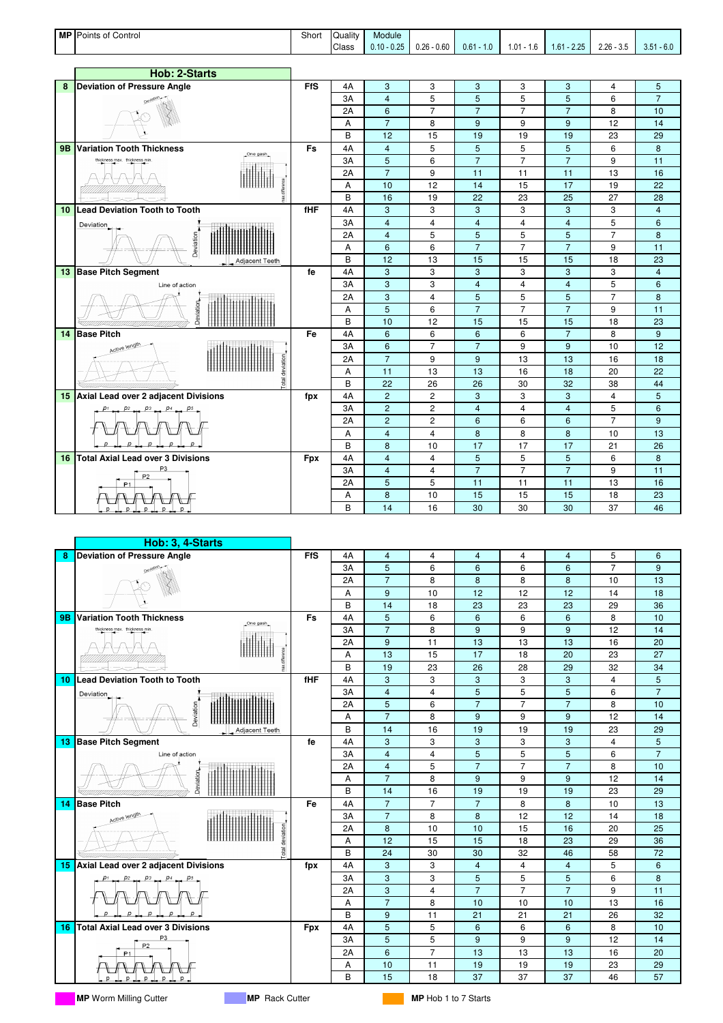

|           | Hob: 3, 4-Starts                             |            |    |                 |                |                |                |                         |                |                |
|-----------|----------------------------------------------|------------|----|-----------------|----------------|----------------|----------------|-------------------------|----------------|----------------|
| 8         | <b>Deviation of Pressure Angle</b>           | <b>FfS</b> | 4A | $\overline{4}$  | $\overline{4}$ | $\overline{4}$ | $\overline{4}$ | $\overline{4}$          | 5              | 6              |
|           |                                              |            | 3A | 5               | 6              | 6              | 6              | 6                       | $\overline{7}$ | 9              |
|           |                                              |            | 2A | $\overline{7}$  | 8              | 8              | 8              | 8                       | 10             | 13             |
|           |                                              |            | Α  | 9               | 10             | 12             | 12             | 12                      | 14             | 18             |
|           |                                              |            | B  | 14              | 18             | 23             | 23             | 23                      | 29             | 36             |
| <b>9B</b> | <b>Variation Tooth Thickness</b><br>One gash | Fs         | 4A | 5               | 6              | 6              | 6              | 6                       | 8              | 10             |
|           | thickness max. thickness min                 |            | 3A | $\overline{7}$  | 8              | 9              | 9              | 9                       | 12             | 14             |
|           |                                              |            | 2A | 9               | 11             | 13             | 13             | 13                      | 16             | 20             |
|           |                                              |            | A  | 13              | 15             | 17             | 18             | 20                      | 23             | 27             |
|           |                                              |            | B  | 19              | 23             | 26             | 28             | 29                      | 32             | 34             |
| 10        | <b>Lead Deviation Tooth to Tooth</b>         | fHF        | 4A | 3               | 3              | 3              | 3              | 3                       | $\overline{4}$ | 5              |
|           | Deviation                                    |            | 3A | $\overline{4}$  | 4              | 5              | 5              | 5                       | 6              | $\overline{7}$ |
|           |                                              |            | 2A | 5               | 6              | $\overline{7}$ | $\overline{7}$ | $\overline{7}$          | 8              | 10             |
|           | Deviation                                    |            | Α  | $\overline{7}$  | 8              | 9              | 9              | 9                       | 12             | 14             |
|           | Adiacent Teeth                               |            | B  | 14              | 16             | 19             | 19             | 19                      | 23             | 29             |
| -13       | <b>Base Pitch Segment</b>                    | fe         | 4A | 3               | 3              | 3              | 3              | 3                       | $\overline{4}$ | 5              |
|           | Line of action                               |            | 3A | $\overline{4}$  | $\overline{4}$ | 5              | 5              | 5                       | 6              | $\overline{7}$ |
|           |                                              |            | 2A | $\overline{4}$  | 5              | $\overline{7}$ | $\overline{7}$ | $\overline{7}$          | 8              | 10             |
|           | Deviation                                    |            | Α  | $\overline{7}$  | 8              | 9              | 9              | 9                       | 12             | 14             |
|           |                                              |            | B  | 14              | 16             | 19             | 19             | 19                      | 23             | 29             |
| 14        | <b>Base Pitch</b>                            | Fe         | 4A | $\overline{7}$  | $\overline{7}$ | $\overline{7}$ | 8              | 8                       | 10             | 13             |
|           | Active length                                |            | 3A | $\overline{7}$  | 8              | 8              | 12             | 12                      | 14             | 18             |
|           | deviation                                    |            | 2A | 8               | 10             | 10             | 15             | 16                      | 20             | 25             |
|           |                                              |            | A  | 12              | 15             | 15             | 18             | 23                      | 29             | 36             |
|           | otal                                         |            | B  | 24              | 30             | 30             | 32             | 46                      | 58             | 72             |
| 15        | Axial Lead over 2 adjacent Divisions         | fpx        | 4A | 3               | 3              | $\overline{4}$ | $\overline{4}$ | $\overline{\mathbf{4}}$ | 5              | $6\phantom{1}$ |
|           |                                              |            | 3A | 3               | 3              | 5              | 5              | 5                       | 6              | 8              |
|           |                                              |            | 2A | 3               | $\overline{4}$ | $\overline{7}$ | $\overline{7}$ | $\overline{7}$          | 9              | 11             |
|           |                                              |            | Α  | $\overline{7}$  | 8              | 10             | 10             | 10                      | 13             | 16             |
|           |                                              |            | B  | 9               | 11             | 21             | 21             | 21                      | 26             | 32             |
| 16        | <b>Total Axial Lead over 3 Divisions</b>     | <b>Fpx</b> | 4A | 5               | 5              | 6              | 6              | 6                       | 8              | 10             |
|           | P <sub>2</sub>                               |            | 3A | 5               | 5              | 9              | 9              | 9                       | 12             | 14             |
|           | P <sub>1</sub>                               |            | 2A | $6\overline{6}$ | $\overline{7}$ | 13             | 13             | 13                      | 16             | 20             |
|           |                                              |            | Α  | 10              | 11             | 19             | 19             | 19                      | 23             | 29             |
|           |                                              |            | B  | 15              | 18             | 37             | 37             | 37                      | 46             | 57             |

**MP** Worm Milling Cutter **MP MP** Rack Cutter **MP MP MP** Hob 1 to 7 Starts